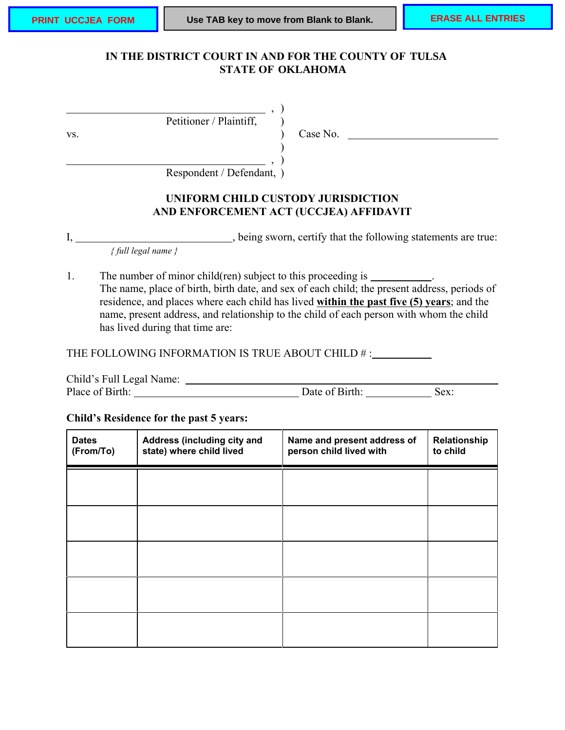# IN THE DISTRICT COURT IN AND FOR THE COUNTY OF TULSA **STATE OF OKLAHOMA PRINT UCCJEA FORM BUSE TAB key to move from Blank to Blank. ERASE ALL ENTRIES**<br>
IN THE DISTRICT COURT IN AND FOR THE COUNTY OF TULSA<br>
STATE OF OKLAHOMA

, )

Petitioner / Plaintiff,  $\qquad$ )

vs.  $\qquad \qquad$  (ase No.

Respondent / Defendant, )

## **UNIFORM CHILD CUSTODY JURISDICTION AND ENFORCEMENT ACT (UCCJEA) AFFIDAVIT**

) , )

I, \_\_\_\_\_\_\_\_\_\_\_\_\_\_\_\_\_\_\_\_\_\_\_\_\_\_, being sworn, certify that the following statements are true:

*{ full legal name }*

1. The number of minor child(ren) subject to this proceeding is \_\_\_\_\_\_\_\_\_\_. The name, place of birth, birth date, and sex of each child; the present address, periods of residence, and places where each child has lived **within the past five (5) years**; and the name, present address, and relationship to the child of each person with whom the child has lived during that time are:

THE FOLLOWING INFORMATION IS TRUE ABOUT CHILD # :

| Child's Full Legal Name: |                |      |
|--------------------------|----------------|------|
| Place of Birth:          | Date of Birth: | Sex: |

#### **Child's Residence for the past 5 years:**

| <b>Dates</b><br>(From/To) | Address (including city and<br>state) where child lived | Name and present address of<br>person child lived with | Relationship<br>to child |
|---------------------------|---------------------------------------------------------|--------------------------------------------------------|--------------------------|
|                           |                                                         |                                                        |                          |
|                           |                                                         |                                                        |                          |
|                           |                                                         |                                                        |                          |
|                           |                                                         |                                                        |                          |
|                           |                                                         |                                                        |                          |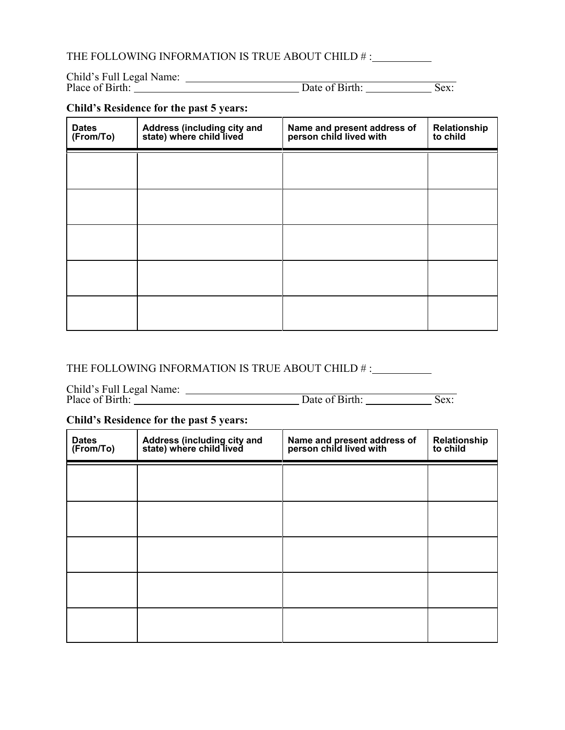# THE FOLLOWING INFORMATION IS TRUE ABOUT CHILD # :

| Child's Full Legal Name: |                |      |
|--------------------------|----------------|------|
| Place of Birth:          | Date of Birth: | Sex: |

# **Child's Residence for the past 5 years:**

| <b>Dates</b><br>(From/To) | Address (including city and<br>state) where child lived | Name and present address of<br>person child lived with | Relationship<br>to child |
|---------------------------|---------------------------------------------------------|--------------------------------------------------------|--------------------------|
|                           |                                                         |                                                        |                          |
|                           |                                                         |                                                        |                          |
|                           |                                                         |                                                        |                          |
|                           |                                                         |                                                        |                          |
|                           |                                                         |                                                        |                          |

# THE FOLLOWING INFORMATION IS TRUE ABOUT CHILD # :

Child's Full Legal Name:

Place of Birth: Sex: Date of Birth: Sex:

#### **Child's Residence for the past 5 years:**

| <b>Dates</b><br>(From/To) | Address (including city and<br>state) where child lived | Name and present address of<br>person child lived with | Relationship<br>to child |
|---------------------------|---------------------------------------------------------|--------------------------------------------------------|--------------------------|
|                           |                                                         |                                                        |                          |
|                           |                                                         |                                                        |                          |
|                           |                                                         |                                                        |                          |
|                           |                                                         |                                                        |                          |
|                           |                                                         |                                                        |                          |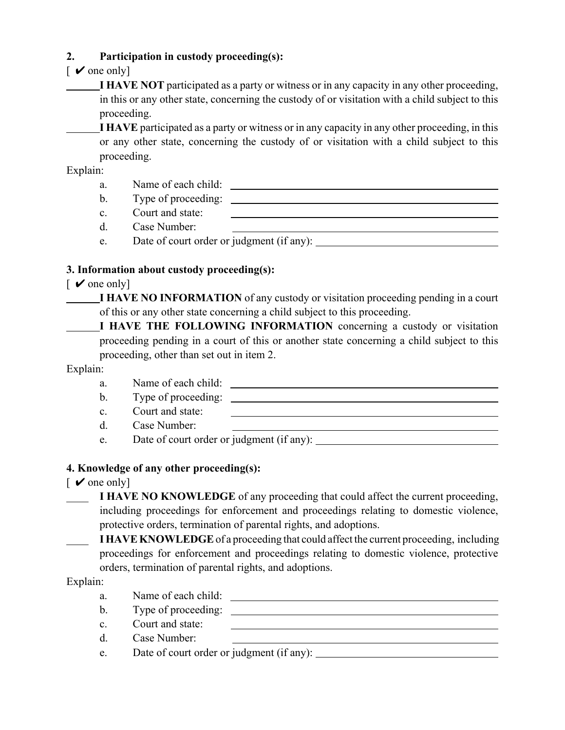# **2. Participation in custody proceeding(s):**

# $\sim$  one only]

**I HAVE NOT** participated as a party or witness or in any capacity in any other proceeding, in this or any other state, concerning the custody of or visitation with a child subject to this proceeding.

**I HAVE** participated as a party or witness or in any capacity in any other proceeding, in this or any other state, concerning the custody of or visitation with a child subject to this proceeding.

Explain:

a. Name of each child: b. Type of proceeding: c. Court and state: d. Case Number: e. Date of court order or judgment (if any):

# **3. Information about custody proceeding(s):**

 $\sqrt{\ }$  one only

**I HAVE NO INFORMATION** of any custody or visitation proceeding pending in a court of this or any other state concerning a child subject to this proceeding.

**I HAVE THE FOLLOWING INFORMATION** concerning a custody or visitation proceeding pending in a court of this or another state concerning a child subject to this proceeding, other than set out in item 2.

## Explain:



## **4. Knowledge of any other proceeding(s):**

- $\sqrt{\ }$  one only
	- **I HAVE NO KNOWLEDGE** of any proceeding that could affect the current proceeding, including proceedings for enforcement and proceedings relating to domestic violence, protective orders, termination of parental rights, and adoptions.

\_\_\_\_ **I HAVE KNOWLEDGE** of a proceeding that could affect the current proceeding, including proceedings for enforcement and proceedings relating to domestic violence, protective orders, termination of parental rights, and adoptions.

Explain:

- a. Name of each child: b. Type of proceeding: c. Court and state: d. Case Number:
- e. Date of court order or judgment (if any):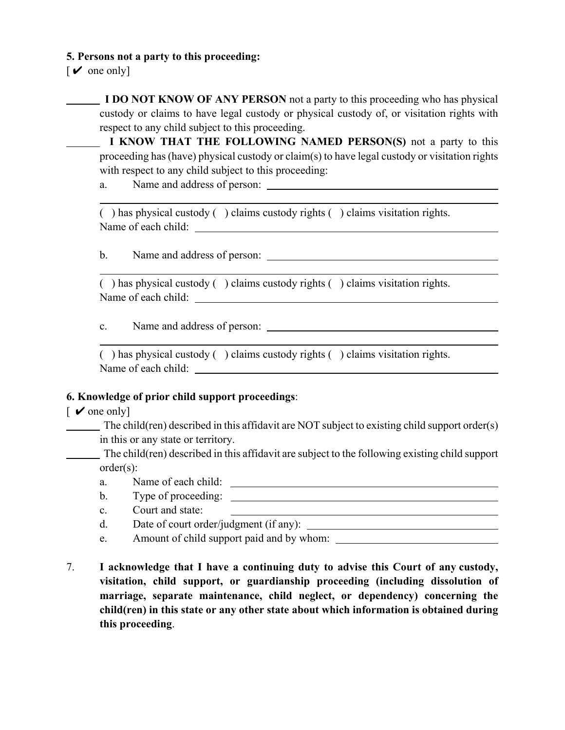#### **5. Persons not a party to this proceeding:**

 $\lceil \mathbf{v} \rceil$  one only

**I DO NOT KNOW OF ANY PERSON** not a party to this proceeding who has physical custody or claims to have legal custody or physical custody of, or visitation rights with respect to any child subject to this proceeding.

 **I KNOW THAT THE FOLLOWING NAMED PERSON(S)** not a party to this proceeding has (have) physical custody or claim(s) to have legal custody or visitation rights with respect to any child subject to this proceeding:

a. Name and address of person:

( ) has physical custody ( ) claims custody rights ( ) claims visitation rights. Name of each child:

b. Name and address of person:

( ) has physical custody ( ) claims custody rights ( ) claims visitation rights. Name of each child:

c. Name and address of person:

( ) has physical custody ( ) claims custody rights ( ) claims visitation rights. Name of each child:

## **6. Knowledge of prior child support proceedings**:

#### $\sqrt{\ }$  one only

 $\Box$  The child(ren) described in this affidavit are NOT subject to existing child support order(s) in this or any state or territory.

 The child(ren) described in this affidavit are subject to the following existing child support order(s):

- a. Name of each child:
- b. Type of proceeding:
- c. Court and state:
- d. Date of court order/judgment (if any):
- e. Amount of child support paid and by whom:
- 7. **I acknowledge that I have a continuing duty to advise this Court of any custody, visitation, child support, or guardianship proceeding (including dissolution of marriage, separate maintenance, child neglect, or dependency) concerning the child(ren) in this state or any other state about which information is obtained during this proceeding**.